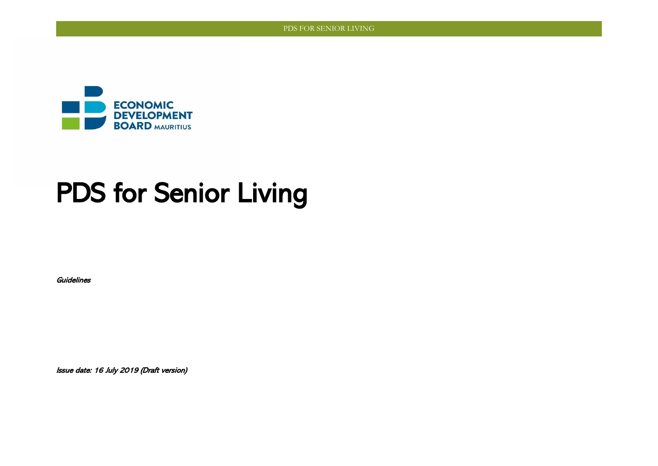

# PDS for Senior Living

**Guidelines** 

Issue date: 16 July 2019 (Draft version)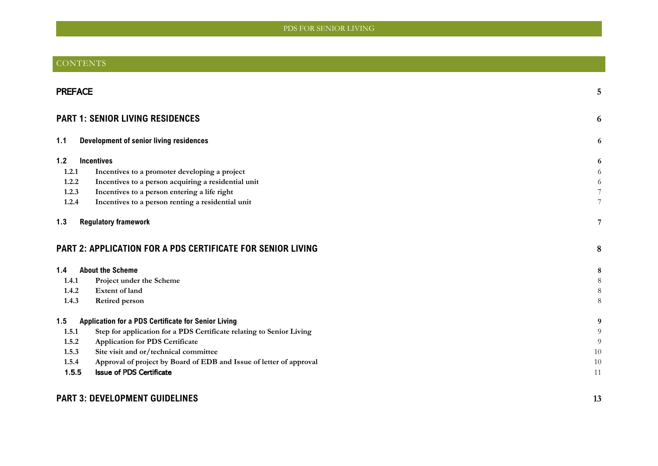### CONTENTS

|       | <b>PREFACE</b>                                                       |                |  |
|-------|----------------------------------------------------------------------|----------------|--|
|       | <b>PART 1: SENIOR LIVING RESIDENCES</b>                              | 6              |  |
| 1.1   | <b>Development of senior living residences</b>                       | 6              |  |
| 1.2   | <b>Incentives</b>                                                    | 6              |  |
| 1.2.1 | Incentives to a promoter developing a project                        | 6              |  |
| 1.2.2 | Incentives to a person acquiring a residential unit                  | 6              |  |
| 1.2.3 | Incentives to a person entering a life right                         | $7\phantom{.}$ |  |
| 1.2.4 | Incentives to a person renting a residential unit                    | $\tau$         |  |
| 1.3   | <b>Regulatory framework</b>                                          | 7              |  |
|       | <b>PART 2: APPLICATION FOR A PDS CERTIFICATE FOR SENIOR LIVING</b>   | 8              |  |
| 1.4   | <b>About the Scheme</b>                                              | $\bf 8$        |  |
| 1.4.1 | Project under the Scheme                                             | $\,8\,$        |  |
| 1.4.2 | <b>Extent of land</b>                                                | $\,8\,$        |  |
| 1.4.3 | <b>Retired person</b>                                                | 8              |  |
| 1.5   | Application for a PDS Certificate for Senior Living                  | 9              |  |
| 1.5.1 | Step for application for a PDS Certificate relating to Senior Living | 9              |  |
| 1.5.2 | <b>Application for PDS Certificate</b>                               | 9              |  |
| 1.5.3 | Site visit and or/technical committee                                | 10             |  |
| 1.5.4 | Approval of project by Board of EDB and Issue of letter of approval  | 10             |  |
| 1.5.5 | <b>Issue of PDS Certificate</b>                                      | 11             |  |
|       |                                                                      |                |  |
|       | <b>PART 3: DEVELOPMENT GUIDELINES</b>                                | 13             |  |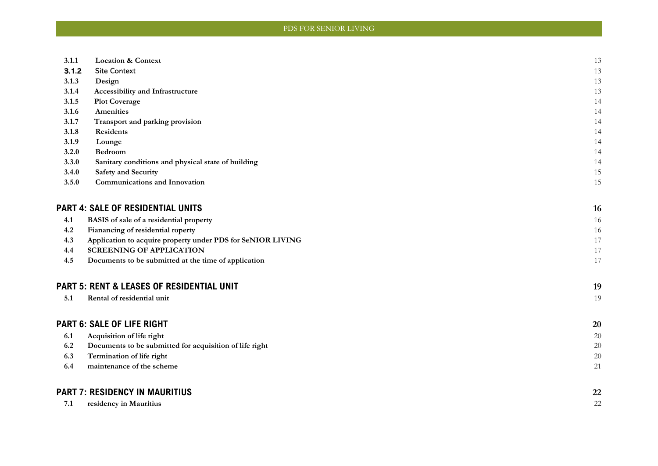| 3.1.1 | <b>Location &amp; Context</b>                               | 13     |
|-------|-------------------------------------------------------------|--------|
| 3.1.2 | <b>Site Context</b>                                         | 13     |
| 3.1.3 | Design                                                      | 13     |
| 3.1.4 | Accessibility and Infrastructure                            | 13     |
| 3.1.5 | <b>Plot Coverage</b>                                        | 14     |
| 3.1.6 | Amenities                                                   | 14     |
| 3.1.7 | Transport and parking provision                             | 14     |
| 3.1.8 | Residents                                                   | 14     |
| 3.1.9 | Lounge                                                      | 14     |
| 3.2.0 | Bedroom                                                     | 14     |
| 3.3.0 | Sanitary conditions and physical state of building          | 14     |
| 3.4.0 | <b>Safety and Security</b>                                  | 15     |
| 3.5.0 | Communications and Innovation                               | 15     |
|       | <b>PART 4: SALE OF RESIDENTIAL UNITS</b>                    | 16     |
| 4.1   | BASIS of sale of a residential property                     | 16     |
| 4.2   | Fianancing of residential roperty                           | 16     |
| 4.3   | Application to acquire property under PDS for SeNIOR LIVING | 17     |
| 4.4   | <b>SCREENING OF APPLICATION</b>                             | 17     |
| 4.5   | Documents to be submitted at the time of application        | 17     |
|       | <b>PART 5: RENT &amp; LEASES OF RESIDENTIAL UNIT</b>        | 19     |
| 5.1   | Rental of residential unit                                  | 19     |
|       | <b>PART 6: SALE OF LIFE RIGHT</b>                           | 20     |
| 6.1   | Acquisition of life right                                   | 20     |
| 6.2   | Documents to be submitted for acquisition of life right     | 20     |
| 6.3   | Termination of life right                                   | $20\,$ |
| 6.4   | maintenance of the scheme                                   | 21     |
|       |                                                             |        |
|       | <b>PART 7: RESIDENCY IN MAURITIUS</b>                       | 22     |
| 7.1   | residency in Mauritius                                      | 22     |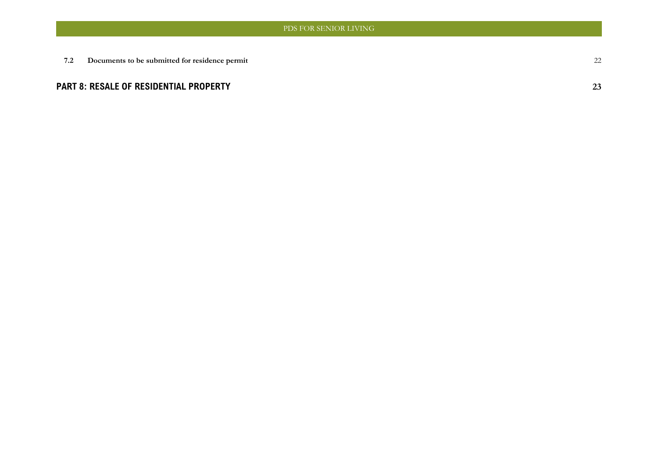**7.2 [Documents to be submitted for residence permit](#page-21-2)** 22

### **[PART 8: RESALE OF RESIDENTIAL PROPERTY](#page-22-0) 23**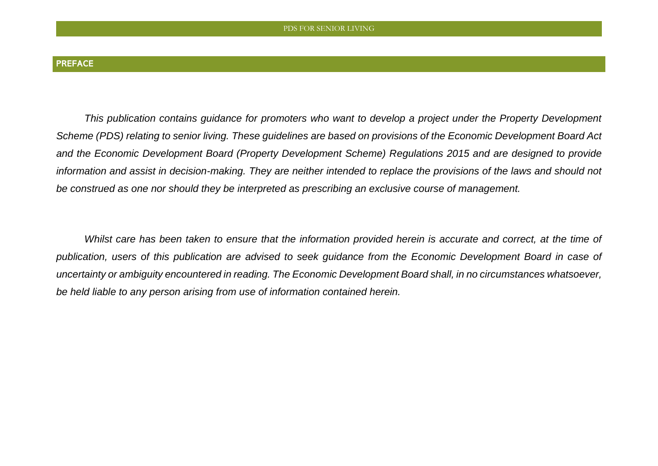<span id="page-4-0"></span>*This publication contains guidance for promoters who want to develop a project under the Property Development Scheme (PDS) relating to senior living. These guidelines are based on provisions of the Economic Development Board Act and the Economic Development Board (Property Development Scheme) Regulations 2015 and are designed to provide information and assist in decision-making. They are neither intended to replace the provisions of the laws and should not be construed as one nor should they be interpreted as prescribing an exclusive course of management.* 

*Whilst care has been taken to ensure that the information provided herein is accurate and correct, at the time of publication, users of this publication are advised to seek guidance from the Economic Development Board in case of uncertainty or ambiguity encountered in reading. The Economic Development Board shall, in no circumstances whatsoever, be held liable to any person arising from use of information contained herein.*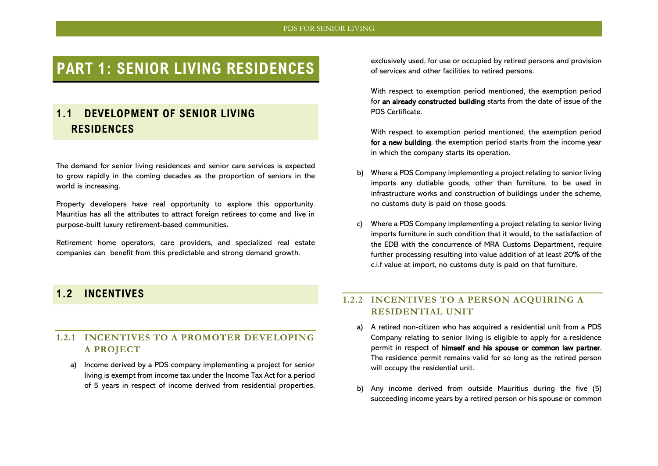## <span id="page-5-0"></span>**PART 1: SENIOR LIVING RESIDENCES**

## <span id="page-5-1"></span>**1.1 DEVELOPMENT OF SENIOR LIVING RESIDENCES**

The demand for senior living residences and senior care services is expected to grow rapidly in the coming decades as the proportion of seniors in the world is increasing.

Property developers have real opportunity to explore this opportunity. Mauritius has all the attributes to attract foreign retirees to come and live in purpose-built luxury retirement-based communities.

Retirement home operators, care providers, and specialized real estate companies can benefit from this predictable and strong demand growth.

exclusively used, for use or occupied by retired persons and provision of services and other facilities to retired persons.

With respect to exemption period mentioned, the exemption period for an already constructed building starts from the date of issue of the PDS Certificate.

With respect to exemption period mentioned, the exemption period for a new building, the exemption period starts from the income year in which the company starts its operation.

- b) Where a PDS Company implementing a project relating to senior living imports any dutiable goods, other than furniture, to be used in infrastructure works and construction of buildings under the scheme, no customs duty is paid on those goods.
- c) Where a PDS Company implementing a project relating to senior living imports furniture in such condition that it would, to the satisfaction of the EDB with the concurrence of MRA Customs Department, require further processing resulting into value addition of at least 20% of the c.i.f value at import, no customs duty is paid on that furniture.

### <span id="page-5-2"></span>**1.2 INCENTIVES**

### <span id="page-5-3"></span>**1.2.1 INCENTIVES TO A PROMOTER DEVELOPING A PROJECT**

a) Income derived by a PDS company implementing a project for senior living is exempt from income tax under the Income Tax Act for a period of 5 years in respect of income derived from residential properties,

### <span id="page-5-4"></span>**1.2.2 INCENTIVES TO A PERSON ACQUIRING A RESIDENTIAL UNIT**

- a) A retired non-citizen who has acquired a residential unit from a PDS Company relating to senior living is eligible to apply for a residence permit in respect of himself and his spouse or common law partner. The residence permit remains valid for so long as the retired person will occupy the residential unit.
- b) Any income derived from outside Mauritius during the five (5) succeeding income years by a retired person or his spouse or common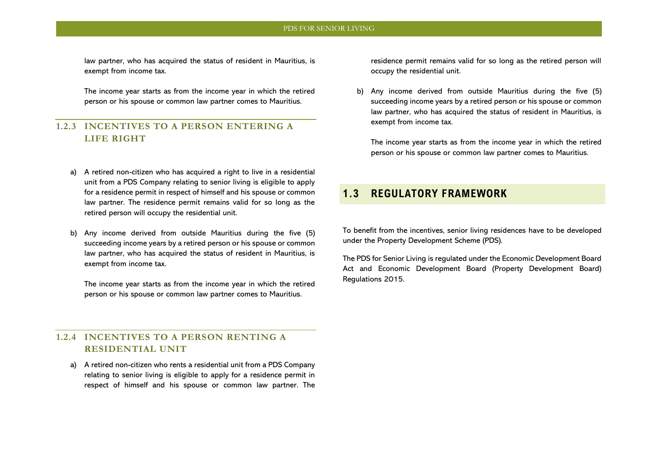law partner, who has acquired the status of resident in Mauritius, is exempt from income tax.

The income year starts as from the income year in which the retired person or his spouse or common law partner comes to Mauritius.

### <span id="page-6-0"></span>**1.2.3 INCENTIVES TO A PERSON ENTERING A LIFE RIGHT**

- a) A retired non-citizen who has acquired a right to live in a residential unit from a PDS Company relating to senior living is eligible to apply for a residence permit in respect of himself and his spouse or common law partner. The residence permit remains valid for so long as the retired person will occupy the residential unit.
- b) Any income derived from outside Mauritius during the five (5) succeeding income years by a retired person or his spouse or common law partner, who has acquired the status of resident in Mauritius, is exempt from income tax.

The income year starts as from the income year in which the retired person or his spouse or common law partner comes to Mauritius.

#### <span id="page-6-1"></span>**1.2.4 INCENTIVES TO A PERSON RENTING A RESIDENTIAL UNIT**

a) A retired non-citizen who rents a residential unit from a PDS Company relating to senior living is eligible to apply for a residence permit in respect of himself and his spouse or common law partner. The residence permit remains valid for so long as the retired person will occupy the residential unit.

b) Any income derived from outside Mauritius during the five (5) succeeding income years by a retired person or his spouse or common law partner, who has acquired the status of resident in Mauritius, is exempt from income tax.

The income year starts as from the income year in which the retired person or his spouse or common law partner comes to Mauritius.

### <span id="page-6-2"></span>**1.3 REGULATORY FRAMEWORK**

To benefit from the incentives, senior living residences have to be developed under the Property Development Scheme (PDS).

The PDS for Senior Living is regulated under the Economic Development Board Act and Economic Development Board (Property Development Board) Regulations 2015.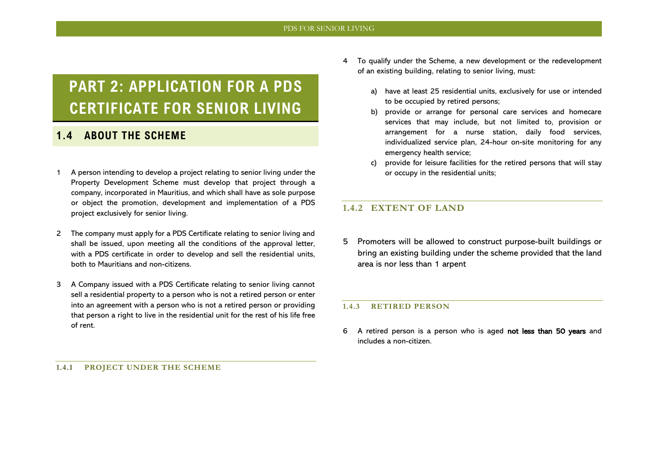## <span id="page-7-0"></span>**PART 2: APPLICATION FOR A PDS CERTIFICATE FOR SENIOR LIVING**

### <span id="page-7-1"></span>**1.4 ABOUT THE SCHEME**

- 1 A person intending to develop a project relating to senior living under the Property Development Scheme must develop that project through a company, incorporated in Mauritius, and which shall have as sole purpose or object the promotion, development and implementation of a PDS project exclusively for senior living.
- 2 The company must apply for a PDS Certificate relating to senior living and shall be issued, upon meeting all the conditions of the approval letter, with a PDS certificate in order to develop and sell the residential units, both to Mauritians and non-citizens.
- 3 A Company issued with a PDS Certificate relating to senior living cannot sell a residential property to a person who is not a retired person or enter into an agreement with a person who is not a retired person or providing that person a right to live in the residential unit for the rest of his life free of rent.
- 4 To qualify under the Scheme, a new development or the redevelopment of an existing building, relating to senior living, must:
	- a) have at least 25 residential units, exclusively for use or intended to be occupied by retired persons;
	- b) provide or arrange for personal care services and homecare services that may include, but not limited to, provision or arrangement for a nurse station, daily food services, individualized service plan, 24-hour on-site monitoring for any emergency health service;
	- provide for leisure facilities for the retired persons that will stay or occupy in the residential units;

#### <span id="page-7-3"></span>**1.4.2 EXTENT OF LAND**

5 Promoters will be allowed to construct purpose-built buildings or bring an existing building under the scheme provided that the land area is nor less than 1 arpent

#### <span id="page-7-4"></span>**1.4.3 RETIRED PERSON**

6 A retired person is a person who is aged not less than 50 years and includes a non-citizen.

<span id="page-7-2"></span>**1.4.1 PROJECT UNDER THE SCHEME**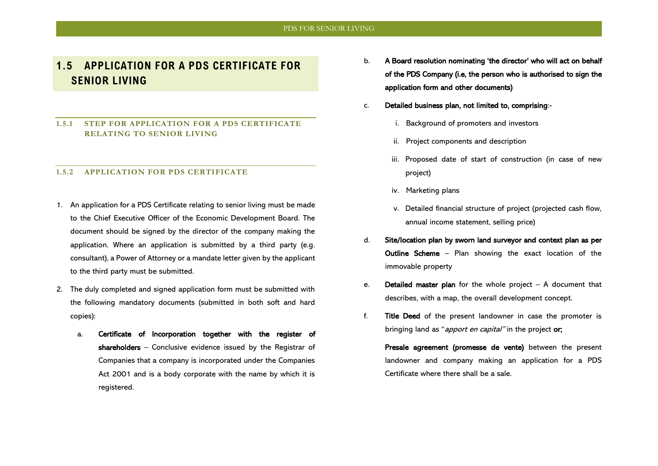## <span id="page-8-0"></span>**1.5 APPLICATION FOR A PDS CERTIFICATE FOR SENIOR LIVING**

#### <span id="page-8-1"></span>**1.5.1 STEP FOR APPLICATION FOR A PDS CERTIFICATE RELATING TO SENIOR LIVING**

#### <span id="page-8-2"></span>**1.5.2 APPLICATION FOR PDS CERTIFICATE**

- 1. An application for a PDS Certificate relating to senior living must be made to the Chief Executive Officer of the Economic Development Board. The document should be signed by the director of the company making the application. Where an application is submitted by a third party (e.g. consultant), a Power of Attorney or a mandate letter given by the applicant to the third party must be submitted.
- 2. The duly completed and signed application form must be submitted with the following mandatory documents (submitted in both soft and hard copies):
	- a. Certificate of Incorporation together with the register of shareholders – Conclusive evidence issued by the Registrar of Companies that a company is incorporated under the Companies Act 2001 and is a body corporate with the name by which it is registered.
- b. A Board resolution nominating 'the director' who will act on behalf of the PDS Company (i.e, the person who is authorised to sign the application form and other documents)
- c. Detailed business plan, not limited to, comprising:
	- i. Background of promoters and investors
	- ii. Project components and description
	- iii. Proposed date of start of construction (in case of new project)
	- iv. Marketing plans
	- v. Detailed financial structure of project (projected cash flow, annual income statement, selling price)
- d. Site/location plan by sworn land surveyor and context plan as per Outline Scheme – Plan showing the exact location of the immovable property
- e. **Detailed master plan** for the whole project  $-$  A document that describes, with a map, the overall development concept.
- f. Title Deed of the present landowner in case the promoter is bringing land as "*apport en capital*" in the project or;

Presale agreement (promesse de vente) between the present landowner and company making an application for a PDS Certificate where there shall be a sale.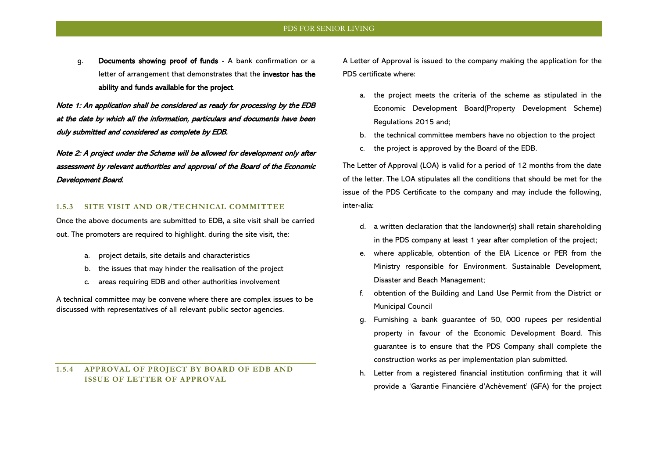g. Documents showing proof of funds - A bank confirmation or a letter of arrangement that demonstrates that the investor has the ability and funds available for the project.

Note 1: An application shall be considered as ready for processing by the EDB at the date by which all the information, particulars and documents have been duly submitted and considered as complete by EDB.

Note 2: A project under the Scheme will be allowed for development only after assessment by relevant authorities and approval of the Board of the Economic Development Board.

#### <span id="page-9-0"></span>**1.5.3 SITE VISIT AND OR/TECHNICAL COMMITTEE**

Once the above documents are submitted to EDB, a site visit shall be carried out. The promoters are required to highlight, during the site visit, the:

- a. project details, site details and characteristics
- b. the issues that may hinder the realisation of the project
- c. areas requiring EDB and other authorities involvement

A technical committee may be convene where there are complex issues to be discussed with representatives of all relevant public sector agencies.

<span id="page-9-1"></span>**1.5.4 APPROVAL OF PROJECT BY BOARD OF EDB AND ISSUE OF LETTER OF APPROVAL** 

A Letter of Approval is issued to the company making the application for the PDS certificate where:

- a. the project meets the criteria of the scheme as stipulated in the Economic Development Board(Property Development Scheme) Regulations 2015 and;
- b. the technical committee members have no objection to the project
- c. the project is approved by the Board of the EDB.

The Letter of Approval (LOA) is valid for a period of 12 months from the date of the letter. The LOA stipulates all the conditions that should be met for the issue of the PDS Certificate to the company and may include the following, inter-alia:

- d. a written declaration that the landowner(s) shall retain shareholding in the PDS company at least 1 year after completion of the project;
- e. where applicable, obtention of the EIA Licence or PER from the Ministry responsible for Environment, Sustainable Development, Disaster and Beach Management;
- f. obtention of the Building and Land Use Permit from the District or Municipal Council
- g. Furnishing a bank guarantee of 50, 000 rupees per residential property in favour of the Economic Development Board. This guarantee is to ensure that the PDS Company shall complete the construction works as per implementation plan submitted.
- h. Letter from a registered financial institution confirming that it will provide a 'Garantie Financière d'Achèvement' (GFA) for the project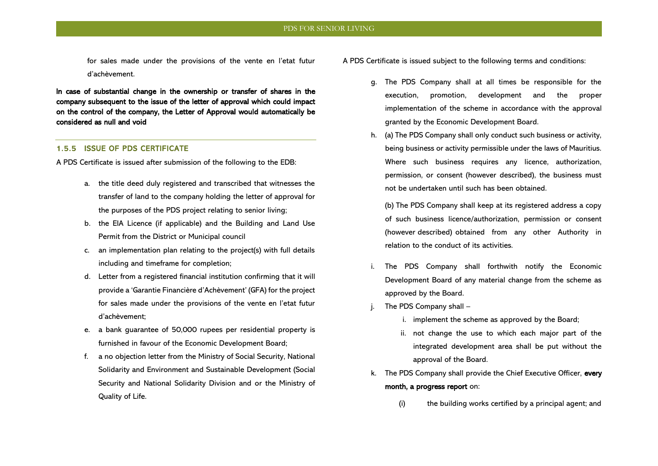for sales made under the provisions of the vente en l'etat futur d'achèvement.

In case of substantial change in the ownership or transfer of shares in the company subsequent to the issue of the letter of approval which could impact on the control of the company, the Letter of Approval would automatically be considered as null and void

#### <span id="page-10-0"></span>1.5.5 ISSUE OF PDS CERTIFICATE

A PDS Certificate is issued after submission of the following to the EDB:

- a. the title deed duly registered and transcribed that witnesses the transfer of land to the company holding the letter of approval for the purposes of the PDS project relating to senior living;
- b. the EIA Licence (if applicable) and the Building and Land Use Permit from the District or Municipal council
- c. an implementation plan relating to the project(s) with full details including and timeframe for completion;
- d. Letter from a registered financial institution confirming that it will provide a 'Garantie Financière d'Achèvement' (GFA) for the project for sales made under the provisions of the vente en l'etat futur d'achèvement;
- e. a bank guarantee of 50,000 rupees per residential property is furnished in favour of the Economic Development Board;
- f. a no objection letter from the Ministry of Social Security, National Solidarity and Environment and Sustainable Development (Social Security and National Solidarity Division and or the Ministry of Quality of Life.
- A PDS Certificate is issued subject to the following terms and conditions:
	- g. The PDS Company shall at all times be responsible for the execution, promotion, development and the proper implementation of the scheme in accordance with the approval granted by the Economic Development Board.
	- h. (a) The PDS Company shall only conduct such business or activity, being business or activity permissible under the laws of Mauritius. Where such business requires any licence, authorization, permission, or consent (however described), the business must not be undertaken until such has been obtained.

(b) The PDS Company shall keep at its registered address a copy of such business licence/authorization, permission or consent (however described) obtained from any other Authority in relation to the conduct of its activities.

- i. The PDS Company shall forthwith notify the Economic Development Board of any material change from the scheme as approved by the Board.
- j. The PDS Company shall
	- i. implement the scheme as approved by the Board;
	- ii. not change the use to which each major part of the integrated development area shall be put without the approval of the Board.
- k. The PDS Company shall provide the Chief Executive Officer, every month, a progress report on:
	- (i) the building works certified by a principal agent; and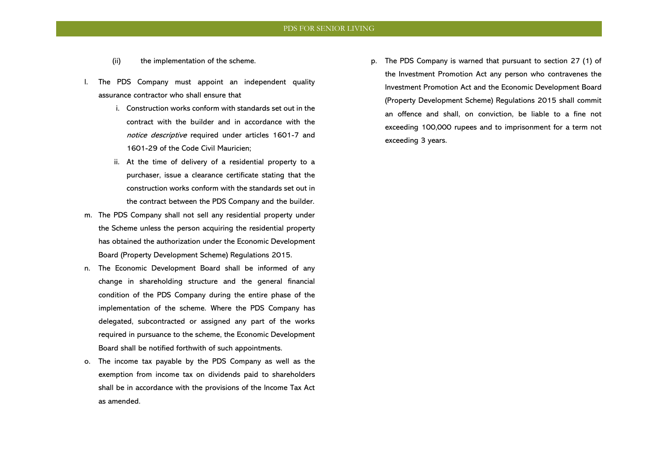- (ii) the implementation of the scheme.
- l. The PDS Company must appoint an independent quality assurance contractor who shall ensure that
	- i. Construction works conform with standards set out in the contract with the builder and in accordance with the notice descriptive required under articles 1601-7 and 1601-29 of the Code Civil Mauricien;
	- ii. At the time of delivery of a residential property to a purchaser, issue a clearance certificate stating that the construction works conform with the standards set out in the contract between the PDS Company and the builder.
- m. The PDS Company shall not sell any residential property under the Scheme unless the person acquiring the residential property has obtained the authorization under the Economic Development Board (Property Development Scheme) Regulations 2015.
- n. The Economic Development Board shall be informed of any change in shareholding structure and the general financial condition of the PDS Company during the entire phase of the implementation of the scheme. Where the PDS Company has delegated, subcontracted or assigned any part of the works required in pursuance to the scheme, the Economic Development Board shall be notified forthwith of such appointments.
- o. The income tax payable by the PDS Company as well as the exemption from income tax on dividends paid to shareholders shall be in accordance with the provisions of the Income Tax Act as amended.

p. The PDS Company is warned that pursuant to section 27 (1) of the Investment Promotion Act any person who contravenes the Investment Promotion Act and the Economic Development Board (Property Development Scheme) Regulations 2015 shall commit an offence and shall, on conviction, be liable to a fine not exceeding 100,000 rupees and to imprisonment for a term not exceeding 3 years.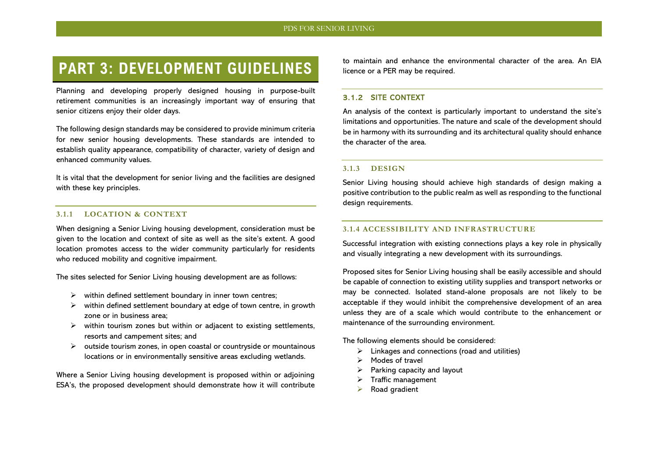## <span id="page-12-0"></span>**PART 3: DEVELOPMENT GUIDELINES**

Planning and developing properly designed housing in purpose-built retirement communities is an increasingly important way of ensuring that senior citizens enjoy their older days.

The following design standards may be considered to provide minimum criteria for new senior housing developments. These standards are intended to establish quality appearance, compatibility of character, variety of design and enhanced community values.

It is vital that the development for senior living and the facilities are designed with these key principles.

#### <span id="page-12-1"></span>**3.1.1 LOCATION & CONTEXT**

When designing a Senior Living housing development, consideration must be given to the location and context of site as well as the site's extent. A good location promotes access to the wider community particularly for residents who reduced mobility and cognitive impairment.

The sites selected for Senior Living housing development are as follows:

- $\triangleright$  within defined settlement boundary in inner town centres;
- $\triangleright$  within defined settlement boundary at edge of town centre, in growth zone or in business area;
- $\triangleright$  within tourism zones but within or adjacent to existing settlements, resorts and campement sites; and
- ➢ outside tourism zones, in open coastal or countryside or mountainous locations or in environmentally sensitive areas excluding wetlands.

Where a Senior Living housing development is proposed within or adjoining ESA's, the proposed development should demonstrate how it will contribute to maintain and enhance the environmental character of the area. An EIA licence or a PER may be required.

#### <span id="page-12-2"></span>3.1.2 SITE CONTEXT

An analysis of the context is particularly important to understand the site's limitations and opportunities. The nature and scale of the development should be in harmony with its surrounding and its architectural quality should enhance the character of the area.

#### <span id="page-12-3"></span>**3.1.3 DESIGN**

Senior Living housing should achieve high standards of design making a positive contribution to the public realm as well as responding to the functional design requirements.

#### <span id="page-12-4"></span>**3.1.4 ACCESSIBILITY AND INFRASTRUCTURE**

Successful integration with existing connections plays a key role in physically and visually integrating a new development with its surroundings.

Proposed sites for Senior Living housing shall be easily accessible and should be capable of connection to existing utility supplies and transport networks or may be connected. Isolated stand-alone proposals are not likely to be acceptable if they would inhibit the comprehensive development of an area unless they are of a scale which would contribute to the enhancement or maintenance of the surrounding environment.

The following elements should be considered:

- $\triangleright$  Linkages and connections (road and utilities)
- Modes of travel
- $\triangleright$  Parking capacity and layout
- ➢ Traffic management
- Road gradient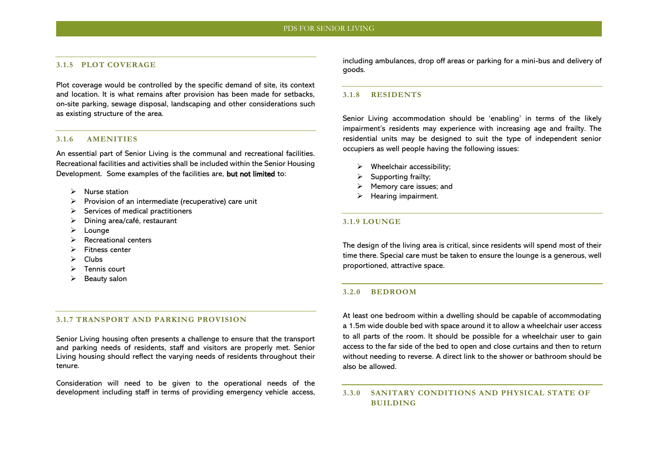#### <span id="page-13-0"></span>**3.1.5 PLOT COVERAGE**

Plot coverage would be controlled by the specific demand of site, its context and location. It is what remains after provision has been made for setbacks, on-site parking, sewage disposal, landscaping and other considerations such as existing structure of the area.

#### <span id="page-13-1"></span>**3.1.6 AMENITIES**

An essential part of Senior Living is the communal and recreational facilities. Recreational facilities and activities shall be included within the Senior Housing Development. Some examples of the facilities are, but not limited to:

- ➢ Nurse station
- ➢ Provision of an intermediate (recuperative) care unit
- $\triangleright$  Services of medical practitioners
- ➢ Dining area/café, restaurant
- ➢ Lounge
- $\triangleright$  Recreational centers
- ➢ Fitness center
- ➢ Clubs
- ➢ Tennis court
- $\triangleright$  Beauty salon

#### <span id="page-13-2"></span>**3.1.7 TRANSPORT AND PARKING PROVISION**

Senior Living housing often presents a challenge to ensure that the transport and parking needs of residents, staff and visitors are properly met. Senior Living housing should reflect the varying needs of residents throughout their tenure.

Consideration will need to be given to the operational needs of the development including staff in terms of providing emergency vehicle access, including ambulances, drop off areas or parking for a mini-bus and delivery of goods.

#### <span id="page-13-3"></span>**3.1.8 RESIDENTS**

Senior Living accommodation should be 'enabling' in terms of the likely impairment's residents may experience with increasing age and frailty. The residential units may be designed to suit the type of independent senior occupiers as well people having the following issues:

- Wheelchair accessibility;
- Supporting frailty;
- Memory care issues; and
- ➢ Hearing impairment.

#### <span id="page-13-4"></span>**3.1.9 LOUNGE**

The design of the living area is critical, since residents will spend most of their time there. Special care must be taken to ensure the lounge is a generous, well proportioned, attractive space.

#### <span id="page-13-5"></span>**3.2.0 BEDROOM**

At least one bedroom within a dwelling should be capable of accommodating a 1.5m wide double bed with space around it to allow a wheelchair user access to all parts of the room. It should be possible for a wheelchair user to gain access to the far side of the bed to open and close curtains and then to return without needing to reverse. A direct link to the shower or bathroom should be also be allowed.

#### <span id="page-13-6"></span>**3.3.0 SANITARY CONDITIONS AND PHYSICAL STATE OF BUILDING**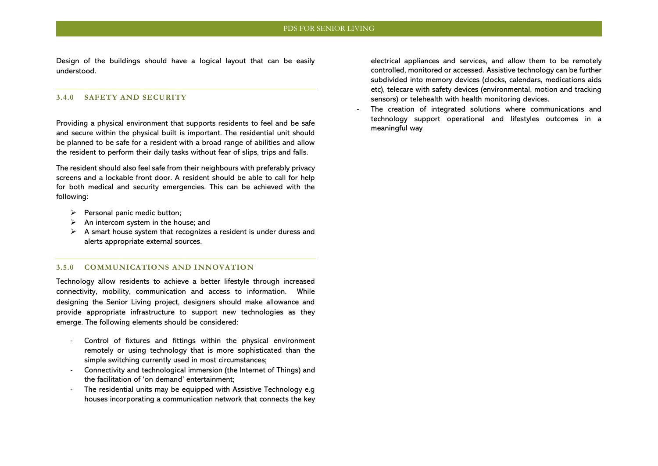Design of the buildings should have a logical layout that can be easily understood.

#### <span id="page-14-0"></span>**3.4.0 SAFETY AND SECURITY**

Providing a physical environment that supports residents to feel and be safe and secure within the physical built is important. The residential unit should be planned to be safe for a resident with a broad range of abilities and allow the resident to perform their daily tasks without fear of slips, trips and falls.

The resident should also feel safe from their neighbours with preferably privacy screens and a lockable front door. A resident should be able to call for help for both medical and security emergencies. This can be achieved with the following:

- $\triangleright$  Personal panic medic button;
- $\triangleright$  An intercom system in the house; and
- $\triangleright$  A smart house system that recognizes a resident is under duress and alerts appropriate external sources.

#### <span id="page-14-1"></span>**3.5.0 COMMUNICATIONS AND INNOVATION**

Technology allow residents to achieve a better lifestyle through increased connectivity, mobility, communication and access to information. While designing the Senior Living project, designers should make allowance and provide appropriate infrastructure to support new technologies as they emerge. The following elements should be considered:

- Control of fixtures and fittings within the physical environment remotely or using technology that is more sophisticated than the simple switching currently used in most circumstances;
- Connectivity and technological immersion (the Internet of Things) and the facilitation of 'on demand' entertainment;
- The residential units may be equipped with Assistive Technology e.g. houses incorporating a communication network that connects the key

electrical appliances and services, and allow them to be remotely controlled, monitored or accessed. Assistive technology can be further subdivided into memory devices (clocks, calendars, medications aids etc), telecare with safety devices (environmental, motion and tracking sensors) or telehealth with health monitoring devices.

The creation of integrated solutions where communications and technology support operational and lifestyles outcomes in a meaningful way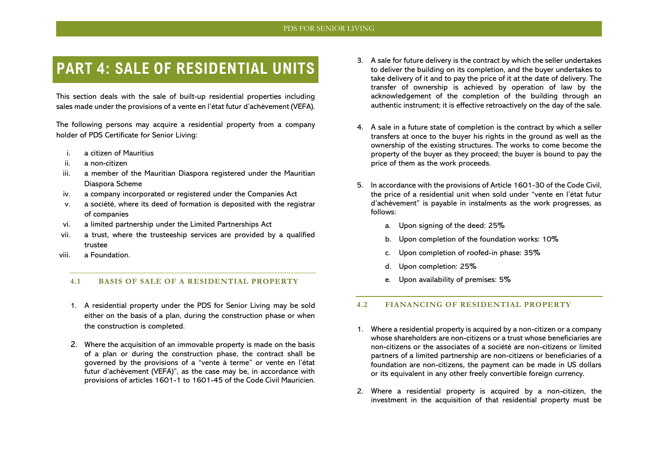## <span id="page-15-0"></span>**PART 4: SALE OF RESIDENTIAL UNITS**

This section deals with the sale of built-up residential properties including sales made under the provisions of a vente en l'état futur d'achèvement (VEFA).

The following persons may acquire a residential property from a company holder of PDS Certificate for Senior Living:

- i. a citizen of Mauritius
- ii. a non-citizen
- iii. a member of the Mauritian Diaspora registered under the Mauritian Diaspora Scheme
- iv. a company incorporated or registered under the Companies Act
- v. a société, where its deed of formation is deposited with the registrar of companies
- vi. a limited partnership under the Limited Partnerships Act
- vii. a trust, where the trusteeship services are provided by a qualified trustee
- viii. a Foundation.

#### <span id="page-15-1"></span>**4.1 BASIS OF SALE OF A RESIDENTIAL PROPERTY**

- 1. A residential property under the PDS for Senior Living may be sold either on the basis of a plan, during the construction phase or when the construction is completed.
- 2. Where the acquisition of an immovable property is made on the basis of a plan or during the construction phase, the contract shall be governed by the provisions of a "vente à terme" or vente en l'état futur d'achèvement (VEFA)", as the case may be, in accordance with provisions of articles 1601-1 to 1601-45 of the Code Civil Mauricien.
- 3. A sale for future delivery is the contract by which the seller undertakes to deliver the building on its completion, and the buyer undertakes to take delivery of it and to pay the price of it at the date of delivery. The transfer of ownership is achieved by operation of law by the acknowledgement of the completion of the building through an authentic instrument; it is effective retroactively on the day of the sale.
- 4. A sale in a future state of completion is the contract by which a seller transfers at once to the buyer his rights in the ground as well as the ownership of the existing structures. The works to come become the property of the buyer as they proceed; the buyer is bound to pay the price of them as the work proceeds.
- 5. In accordance with the provisions of Article 1601-30 of the Code Civil, the price of a residential unit when sold under "vente en l'état futur d'achèvement" is payable in instalments as the work progresses, as follows:
	- a. Upon signing of the deed: 25%
	- b. Upon completion of the foundation works: 10%
	- c. Upon completion of roofed-in phase: 35%
	- d. Upon completion: 25%
	- e. Upon availability of premises: 5%

#### <span id="page-15-2"></span>**4.2 FIANANCING OF RESIDENTIAL PROPERTY**

- 1. Where a residential property is acquired by a non-citizen or a company whose shareholders are non-citizens or a trust whose beneficiaries are non-citizens or the associates of a société are non-citizens or limited partners of a limited partnership are non-citizens or beneficiaries of a foundation are non-citizens, the payment can be made in US dollars or its equivalent in any other freely convertible foreign currency.
- 2. Where a residential property is acquired by a non-citizen, the investment in the acquisition of that residential property must be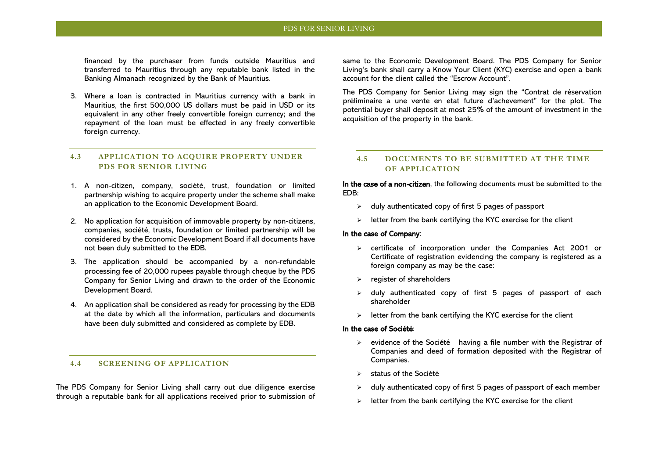financed by the purchaser from funds outside Mauritius and transferred to Mauritius through any reputable bank listed in the Banking Almanach recognized by the Bank of Mauritius.

3. Where a loan is contracted in Mauritius currency with a bank in Mauritius, the first 500,000 US dollars must be paid in USD or its equivalent in any other freely convertible foreign currency; and the repayment of the loan must be effected in any freely convertible foreign currency.

#### <span id="page-16-0"></span>**4.3 APPLICATION TO ACQUIRE PROPERTY UNDER PDS FOR SENIOR LIVING**

- 1. A non-citizen, company, société, trust, foundation or limited partnership wishing to acquire property under the scheme shall make an application to the Economic Development Board.
- 2. No application for acquisition of immovable property by non-citizens, companies, société, trusts, foundation or limited partnership will be considered by the Economic Development Board if all documents have not been duly submitted to the EDB.
- 3. The application should be accompanied by a non-refundable processing fee of 20,000 rupees payable through cheque by the PDS Company for Senior Living and drawn to the order of the Economic Development Board.
- 4. An application shall be considered as ready for processing by the EDB at the date by which all the information, particulars and documents have been duly submitted and considered as complete by EDB.

#### <span id="page-16-1"></span>**4.4 SCREENING OF APPLICATION**

The PDS Company for Senior Living shall carry out due diligence exercise through a reputable bank for all applications received prior to submission of

same to the Economic Development Board. The PDS Company for Senior Living's bank shall carry a Know Your Client (KYC) exercise and open a bank account for the client called the "Escrow Account".

The PDS Company for Senior Living may sign the "Contrat de réservation préliminaire a une vente en etat future d'achevement" for the plot. The potential buyer shall deposit at most 25% of the amount of investment in the acquisition of the property in the bank.

#### <span id="page-16-2"></span>**4.5 DOCUMENTS TO BE SUBMITTED AT THE TIME OF APPLICATION**

In the case of a non-citizen, the following documents must be submitted to the EDB:

- $\geq$  duly authenticated copy of first 5 pages of passport
- $\geq$  letter from the bank certifying the KYC exercise for the client

#### In the case of Company:

- ➢ certificate of incorporation under the Companies Act 2001 or Certificate of registration evidencing the company is registered as a foreign company as may be the case:
- ➢ register of shareholders
- $\geq$  duly authenticated copy of first 5 pages of passport of each shareholder
- $\triangleright$  letter from the bank certifying the KYC exercise for the client

#### In the case of Société:

- $\triangleright$  evidence of the Société having a file number with the Registrar of Companies and deed of formation deposited with the Registrar of Companies.
- status of the Société
- ➢ duly authenticated copy of first 5 pages of passport of each member
- $\geq$  letter from the bank certifying the KYC exercise for the client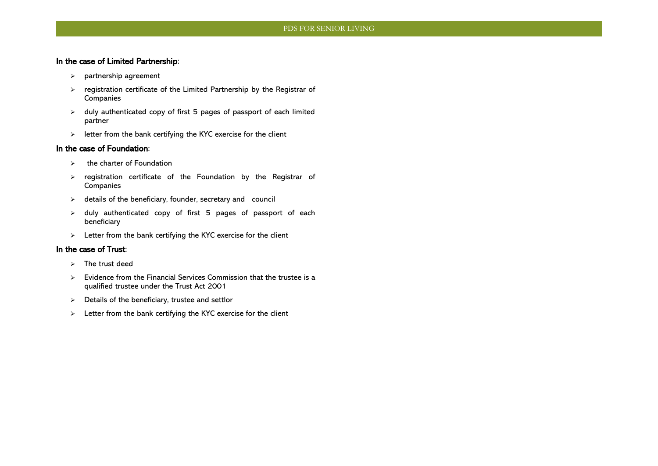#### In the case of Limited Partnership:

- ➢ partnership agreement
- ➢ registration certificate of the Limited Partnership by the Registrar of Companies
- ➢ duly authenticated copy of first 5 pages of passport of each limited partner
- ➢ letter from the bank certifying the KYC exercise for the client

#### In the case of Foundation:

- $\triangleright$  the charter of Foundation
- ➢ registration certificate of the Foundation by the Registrar of Companies
- ➢ details of the beneficiary, founder, secretary and council
- ➢ duly authenticated copy of first 5 pages of passport of each beneficiary
- ➢ Letter from the bank certifying the KYC exercise for the client

#### In the case of Trust:

- ➢ The trust deed
- ➢ Evidence from the Financial Services Commission that the trustee is a qualified trustee under the Trust Act 2001
- ➢ Details of the beneficiary, trustee and settlor
- ➢ Letter from the bank certifying the KYC exercise for the client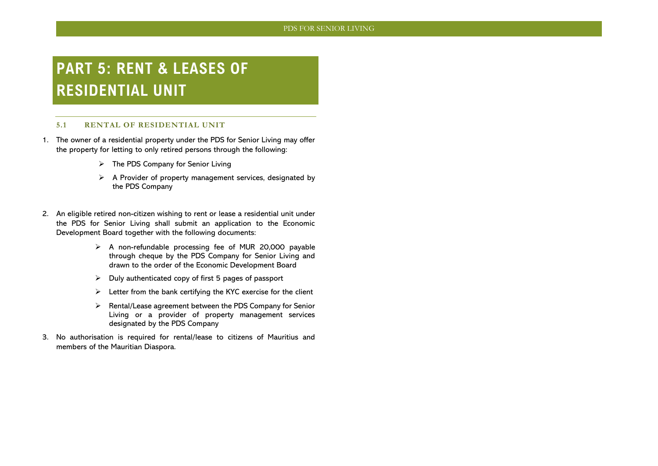## <span id="page-18-0"></span>**PART 5: RENT & LEASES OF RESIDENTIAL UNIT**

#### <span id="page-18-1"></span>**5.1 RENTAL OF RESIDENTIAL UNIT**

- 1. The owner of a residential property under the PDS for Senior Living may offer the property for letting to only retired persons through the following:
	- ➢ The PDS Company for Senior Living
	- ➢ A Provider of property management services, designated by the PDS Company
- 2. An eligible retired non-citizen wishing to rent or lease a residential unit under the PDS for Senior Living shall submit an application to the Economic Development Board together with the following documents:
	- ➢ A non-refundable processing fee of MUR 20,000 payable through cheque by the PDS Company for Senior Living and drawn to the order of the Economic Development Board
	- $\triangleright$  Duly authenticated copy of first 5 pages of passport
	- $\triangleright$  Letter from the bank certifying the KYC exercise for the client
	- ➢ Rental/Lease agreement between the PDS Company for Senior Living or a provider of property management services designated by the PDS Company
- 3. No authorisation is required for rental/lease to citizens of Mauritius and members of the Mauritian Diaspora.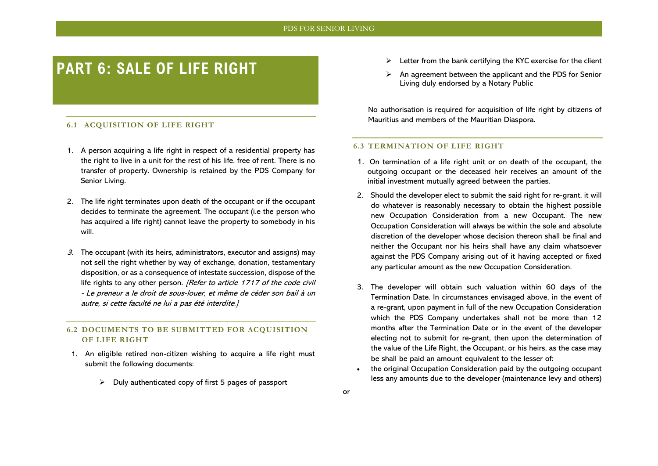## <span id="page-19-0"></span>**PART 6: SALE OF LIFE RIGHT**

#### <span id="page-19-1"></span>**6.1 ACQUISITION OF LIFE RIGHT**

- 1. A person acquiring a life right in respect of a residential property has the right to live in a unit for the rest of his life, free of rent. There is no transfer of property. Ownership is retained by the PDS Company for Senior Living.
- 2. The life right terminates upon death of the occupant or if the occupant decides to terminate the agreement. The occupant (i.e the person who has acquired a life right) cannot leave the property to somebody in his will.
- 3. The occupant (with its heirs, administrators, executor and assigns) may not sell the right whether by way of exchange, donation, testamentary disposition, or as a consequence of intestate succession, dispose of the life rights to any other person. *[Refer to article 1717 of the code civil*] - Le preneur a le droit de sous-louer, et même de céder son bail à un autre, si cette faculté ne lui a pas été interdite.]

#### <span id="page-19-2"></span>**6.2 DOCUMENTS TO BE SUBMITTED FOR ACQUISITION OF LIFE RIGHT**

- 1. An eligible retired non-citizen wishing to acquire a life right must submit the following documents:
	- $\triangleright$  Duly authenticated copy of first 5 pages of passport
- $\triangleright$  Letter from the bank certifying the KYC exercise for the client
- ➢ An agreement between the applicant and the PDS for Senior Living duly endorsed by a Notary Public

No authorisation is required for acquisition of life right by citizens of Mauritius and members of the Mauritian Diaspora.

#### <span id="page-19-3"></span>**6.3 TERMINATION OF LIFE RIGHT**

- 1. On termination of a life right unit or on death of the occupant, the outgoing occupant or the deceased heir receives an amount of the initial investment mutually agreed between the parties.
- 2. Should the developer elect to submit the said right for re-grant, it will do whatever is reasonably necessary to obtain the highest possible new Occupation Consideration from a new Occupant. The new Occupation Consideration will always be within the sole and absolute discretion of the developer whose decision thereon shall be final and neither the Occupant nor his heirs shall have any claim whatsoever against the PDS Company arising out of it having accepted or fixed any particular amount as the new Occupation Consideration.
- 3. The developer will obtain such valuation within 60 days of the Termination Date. In circumstances envisaged above, in the event of a re-grant, upon payment in full of the new Occupation Consideration which the PDS Company undertakes shall not be more than 12 months after the Termination Date or in the event of the developer electing not to submit for re-grant, then upon the determination of the value of the Life Right, the Occupant, or his heirs, as the case may be shall be paid an amount equivalent to the lesser of:
- the original Occupation Consideration paid by the outgoing occupant less any amounts due to the developer (maintenance levy and others)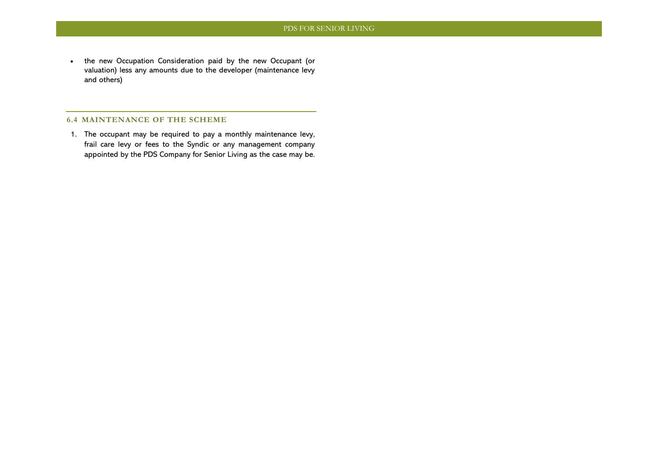• the new Occupation Consideration paid by the new Occupant (or valuation) less any amounts due to the developer (maintenance levy and others)

#### <span id="page-20-0"></span>**6.4 MAINTENANCE OF THE SCHEME**

1. The occupant may be required to pay a monthly maintenance levy, frail care levy or fees to the Syndic or any management company appointed by the PDS Company for Senior Living as the case may be.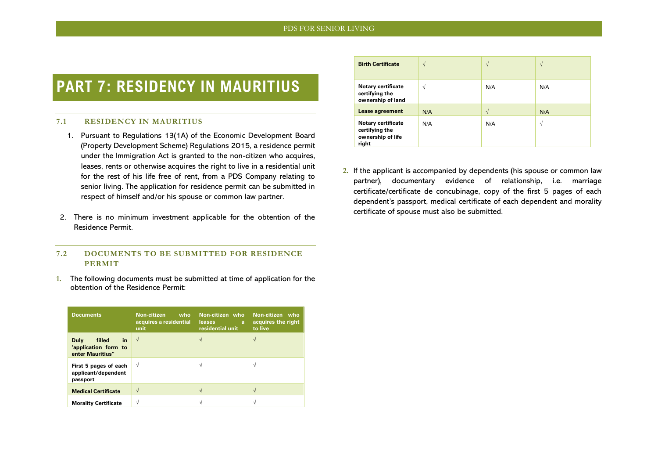## <span id="page-21-0"></span>**PART 7: RESIDENCY IN MAURITIUS**

#### <span id="page-21-1"></span>**7.1 RESIDENCY IN MAURITIUS**

- 1. Pursuant to Regulations 13(1A) of the Economic Development Board (Property Development Scheme) Regulations 2015, a residence permit under the Immigration Act is granted to the non-citizen who acquires, leases, rents or otherwise acquires the right to live in a residential unit for the rest of his life free of rent, from a PDS Company relating to senior living. The application for residence permit can be submitted in respect of himself and/or his spouse or common law partner.
- 2. There is no minimum investment applicable for the obtention of the Residence Permit.

#### <span id="page-21-2"></span>**7.2 DOCUMENTS TO BE SUBMITTED FOR RESIDENCE PERMIT**

**1.** The following documents must be submitted at time of application for the obtention of the Residence Permit:

| <b>Documents</b>                                                        | Non-citizen<br>who<br>acquires a residential<br>unit | Non-citizen who<br><b>leases</b><br>a<br>residential unit | Non-citizen who<br>acquires the right<br>to live |
|-------------------------------------------------------------------------|------------------------------------------------------|-----------------------------------------------------------|--------------------------------------------------|
| in<br><b>Duly</b><br>filled<br>'application form to<br>enter Mauritius" | V                                                    | $\sqrt{ }$                                                | V                                                |
| First 5 pages of each<br>applicant/dependent<br>passport                | V                                                    | N                                                         | N                                                |
| <b>Medical Certificate</b>                                              |                                                      |                                                           |                                                  |
| <b>Morality Certificate</b>                                             | ٦                                                    |                                                           |                                                  |

| <b>Birth Certificate</b>                                                  | $\sqrt{2}$ | V          | $\sqrt{ }$ |
|---------------------------------------------------------------------------|------------|------------|------------|
| <b>Notary certificate</b><br>certifying the<br>ownership of land          | N          | N/A        | N/A        |
| Lease agreement                                                           | N/A        | $\sqrt{ }$ | N/A        |
| <b>Notary certificate</b><br>certifying the<br>ownership of life<br>right | N/A        | N/A        | N          |

**2.** If the applicant is accompanied by dependents (his spouse or common law partner), documentary evidence of relationship, i.e. marriage certificate/certificate de concubinage, copy of the first 5 pages of each dependent's passport, medical certificate of each dependent and morality certificate of spouse must also be submitted.